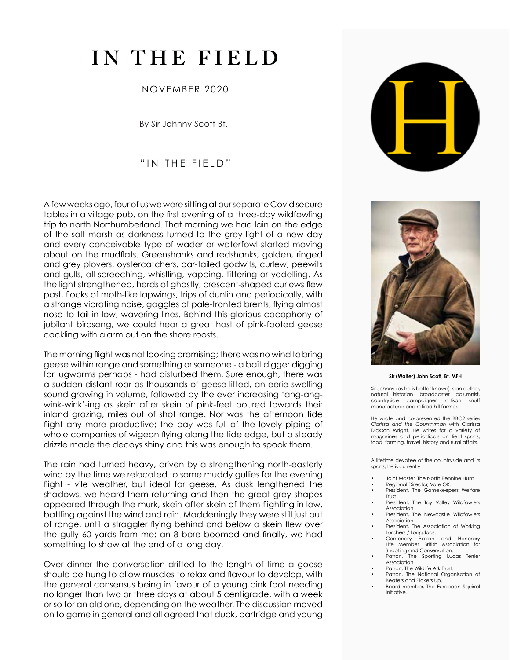# **IN THE FIELD**

## NOVEMBER 2020

By Sir Johnny Scott Bt.

# "IN THE FIELD"

A few weeks ago, four of us we were sitting at our separate Covid secure tables in a village pub, on the first evening of a three-day wildfowling trip to north Northumberland. That morning we had lain on the edge of the salt marsh as darkness turned to the grey light of a new day and every conceivable type of wader or waterfowl started moving about on the mudflats. Greenshanks and redshanks, golden, ringed and grey plovers, oystercatchers, bar-tailed godwits, curlew, peewits and gulls, all screeching, whistling, yapping, tittering or yodelling. As the light strengthened, herds of ghostly, crescent-shaped curlews flew past, flocks of moth-like lapwings, trips of dunlin and periodically, with a strange vibrating noise, gaggles of pale-fronted brents, flying almost nose to tail in low, wavering lines. Behind this glorious cacophony of jubilant birdsong, we could hear a great host of pink-footed geese cackling with alarm out on the shore roosts.

The morning flight was not looking promising; there was no wind to bring geese within range and something or someone - a bait digger digging for lugworms perhaps - had disturbed them. Sure enough, there was a sudden distant roar as thousands of geese lifted, an eerie swelling sound growing in volume, followed by the ever increasing 'ang-angwink-wink'-ing as skein after skein of pink-feet poured towards their inland grazing, miles out of shot range. Nor was the afternoon tide flight any more productive; the bay was full of the lovely piping of whole companies of wigeon flying along the tide edge, but a steady drizzle made the decoys shiny and this was enough to spook them.

The rain had turned heavy, driven by a strengthening north-easterly wind by the time we relocated to some muddy gullies for the evening flight - vile weather, but ideal for geese. As dusk lengthened the shadows, we heard them returning and then the great grey shapes appeared through the murk, skein after skein of them flighting in low, battling against the wind and rain. Maddeningly they were still just out of range, until a straggler flying behind and below a skein flew over the gully 60 yards from me; an 8 bore boomed and finally, we had something to show at the end of a long day.

Over dinner the conversation drifted to the length of time a goose should be hung to allow muscles to relax and flavour to develop, with the general consensus being in favour of a young pink foot needing no longer than two or three days at about 5 centigrade, with a week or so for an old one, depending on the weather. The discussion moved on to game in general and all agreed that duck, partridge and young





#### **Sir (Walter) John Scott, Bt. MFH**

Sir Johnny (as he is better known) is an author, natural historian, broadcaster, columnist,<br>countryside campaigner, artisan snuff countryside campaigner, manufacturer and retired hill farmer.

He wrote and co-presented the BBC2 series *Clarissa and the Countryman* with Clarissa Dickson Wright. He writes for a variety of magazines and periodicals on field sports, food, farming, travel, history and rural affairs.

A lifetime devotee of the countryside and its sports, he is currently:

- Joint Master, The North Pennine Hunt
- Regional Director, Vote OK.
- President, The Gamekeepers Welfare Trust.
- President, The Tay Valley Wildfowlers Association.
- President, The Newcastle Wildfowlers Association.
- President, The Association of Working Lurchers / Longdogs.
- Centenary Patron and Honorary Life Member, British Association for Shooting and Conservation.<br>Patron, The Sporting Luc
- The Sporting Lucas Terrier Association.
- Patron, The Wildlife Ark Trust.
- Patron, The National Organisation of Beaters and Pickers Up.
- Board member, The European Squirrel Initiative.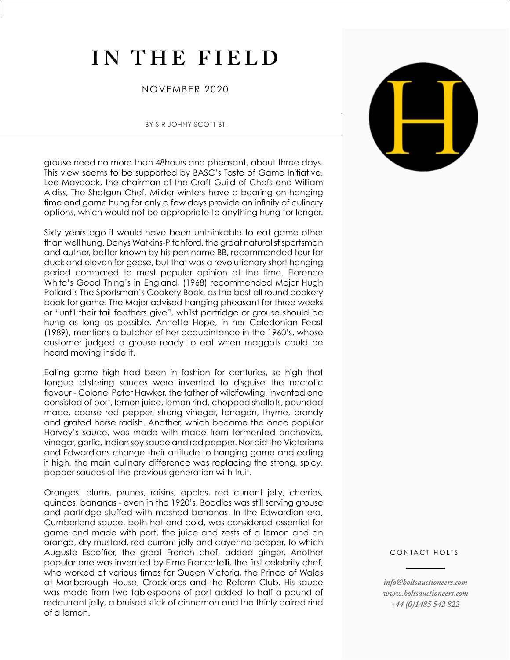# **IN THE FIELD**

## NOVEMBER 2020

### BY SIR JOHNY SCOTT BT.

grouse need no more than 48hours and pheasant, about three days. This view seems to be supported by BASC's Taste of Game Initiative, Lee Maycock, the chairman of the Craft Guild of Chefs and William Aldiss, The Shotgun Chef. Milder winters have a bearing on hanging time and game hung for only a few days provide an infinity of culinary options, which would not be appropriate to anything hung for longer.

Sixty years ago it would have been unthinkable to eat game other than well hung. Denys Watkins-Pitchford, the great naturalist sportsman and author, better known by his pen name BB, recommended four for duck and eleven for geese, but that was a revolutionary short hanging period compared to most popular opinion at the time. Florence White's Good Thing's in England, (1968) recommended Major Hugh Pollard's The Sportsman's Cookery Book, as the best all round cookery book for game. The Major advised hanging pheasant for three weeks or "until their tail feathers give", whilst partridge or grouse should be hung as long as possible. Annette Hope, in her Caledonian Feast (1989), mentions a butcher of her acquaintance in the 1960's, whose customer judged a grouse ready to eat when maggots could be heard moving inside it.

Eating game high had been in fashion for centuries, so high that tongue blistering sauces were invented to disguise the necrotic flavour - Colonel Peter Hawker, the father of wildfowling, invented one consisted of port, lemon juice, lemon rind, chopped shallots, pounded mace, coarse red pepper, strong vinegar, tarragon, thyme, brandy and grated horse radish. Another, which became the once popular Harvey's sauce, was made with made from fermented anchovies, vinegar, garlic, Indian soy sauce and red pepper. Nor did the Victorians and Edwardians change their attitude to hanging game and eating it high, the main culinary difference was replacing the strong, spicy, pepper sauces of the previous generation with fruit.

Oranges, plums, prunes, raisins, apples, red currant jelly, cherries, quinces, bananas - even in the 1920's, Boodles was still serving grouse and partridge stuffed with mashed bananas. In the Edwardian era, Cumberland sauce, both hot and cold, was considered essential for game and made with port, the juice and zests of a lemon and an orange, dry mustard, red currant jelly and cayenne pepper, to which Auguste Escoffier, the great French chef, added ginger. Another popular one was invented by Elme Francatelli, the first celebrity chef, who worked at various times for Queen Victoria, the Prince of Wales at Marlborough House, Crockfords and the Reform Club. His sauce was made from two tablespoons of port added to half a pound of redcurrant jelly, a bruised stick of cinnamon and the thinly paired rind of a lemon.



#### CONTACT HOLTS

*info@holtsauctioneers.com www.holtsauctioneers.com +44 (0)1485 542 822*